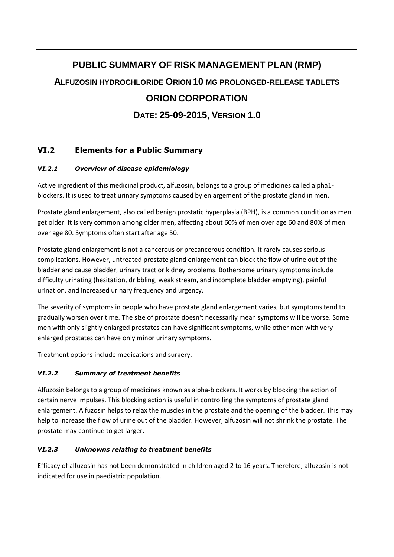# **PUBLIC SUMMARY OF RISK MANAGEMENT PLAN (RMP) ALFUZOSIN HYDROCHLORIDE ORION 10 MG PROLONGED-RELEASE TABLETS ORION CORPORATION DATE: 25-09-2015, VERSION 1.0**

# **VI.2 Elements for a Public Summary**

## *VI.2.1 Overview of disease epidemiology*

Active ingredient of this medicinal product, alfuzosin, belongs to a group of medicines called alpha1 blockers. It is used to treat urinary symptoms caused by enlargement of the prostate gland in men.

Prostate gland enlargement, also called benign prostatic hyperplasia (BPH), is a common condition as men get older. It is very common among older men, affecting about 60% of men over age 60 and 80% of men over age 80. Symptoms often start after age 50.

Prostate gland enlargement is not a cancerous or precancerous condition. It rarely causes serious complications. However, untreated prostate gland enlargement can block the flow of urine out of the bladder and cause bladder, urinary tract or kidney problems. Bothersome urinary symptoms include difficulty urinating (hesitation, dribbling, weak stream, and incomplete bladder emptying), painful urination, and increased urinary frequency and urgency.

The severity of symptoms in people who have prostate gland enlargement varies, but symptoms tend to gradually worsen over time. The size of prostate doesn't necessarily mean symptoms will be worse. Some men with only slightly enlarged prostates can have significant symptoms, while other men with very enlarged prostates can have only minor urinary symptoms.

Treatment options include medications and surgery.

## *VI.2.2 Summary of treatment benefits*

Alfuzosin belongs to a group of medicines known as alpha-blockers. It works by blocking the action of certain nerve impulses. This blocking action is useful in controlling the symptoms of prostate gland enlargement. Alfuzosin helps to relax the muscles in the prostate and the opening of the bladder. This may help to increase the flow of urine out of the bladder. However, alfuzosin will not shrink the prostate. The prostate may continue to get larger.

## *VI.2.3 Unknowns relating to treatment benefits*

Efficacy of alfuzosin has not been demonstrated in children aged 2 to 16 years. Therefore, alfuzosin is not indicated for use in paediatric population.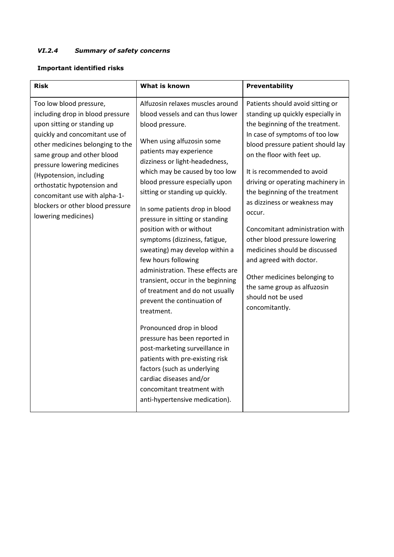## *VI.2.4 Summary of safety concerns*

#### **Important identified risks**

| Risk                                                                                                                                                                                                                                                                                                                                                                                | What is known                                                                                                                                                                                                                                                                                                                                                                                                                                                                                                                                                                                                                                                                                                                                                                                                                                                                                             | Preventability                                                                                                                                                                                                                                                                                                                                                                                                                                                                                                                                                                                      |
|-------------------------------------------------------------------------------------------------------------------------------------------------------------------------------------------------------------------------------------------------------------------------------------------------------------------------------------------------------------------------------------|-----------------------------------------------------------------------------------------------------------------------------------------------------------------------------------------------------------------------------------------------------------------------------------------------------------------------------------------------------------------------------------------------------------------------------------------------------------------------------------------------------------------------------------------------------------------------------------------------------------------------------------------------------------------------------------------------------------------------------------------------------------------------------------------------------------------------------------------------------------------------------------------------------------|-----------------------------------------------------------------------------------------------------------------------------------------------------------------------------------------------------------------------------------------------------------------------------------------------------------------------------------------------------------------------------------------------------------------------------------------------------------------------------------------------------------------------------------------------------------------------------------------------------|
| Too low blood pressure,<br>including drop in blood pressure<br>upon sitting or standing up<br>quickly and concomitant use of<br>other medicines belonging to the<br>same group and other blood<br>pressure lowering medicines<br>(Hypotension, including<br>orthostatic hypotension and<br>concomitant use with alpha-1-<br>blockers or other blood pressure<br>lowering medicines) | Alfuzosin relaxes muscles around<br>blood vessels and can thus lower<br>blood pressure.<br>When using alfuzosin some<br>patients may experience<br>dizziness or light-headedness,<br>which may be caused by too low<br>blood pressure especially upon<br>sitting or standing up quickly.<br>In some patients drop in blood<br>pressure in sitting or standing<br>position with or without<br>symptoms (dizziness, fatigue,<br>sweating) may develop within a<br>few hours following<br>administration. These effects are<br>transient, occur in the beginning<br>of treatment and do not usually<br>prevent the continuation of<br>treatment.<br>Pronounced drop in blood<br>pressure has been reported in<br>post-marketing surveillance in<br>patients with pre-existing risk<br>factors (such as underlying<br>cardiac diseases and/or<br>concomitant treatment with<br>anti-hypertensive medication). | Patients should avoid sitting or<br>standing up quickly especially in<br>the beginning of the treatment.<br>In case of symptoms of too low<br>blood pressure patient should lay<br>on the floor with feet up.<br>It is recommended to avoid<br>driving or operating machinery in<br>the beginning of the treatment<br>as dizziness or weakness may<br>occur.<br>Concomitant administration with<br>other blood pressure lowering<br>medicines should be discussed<br>and agreed with doctor.<br>Other medicines belonging to<br>the same group as alfuzosin<br>should not be used<br>concomitantly. |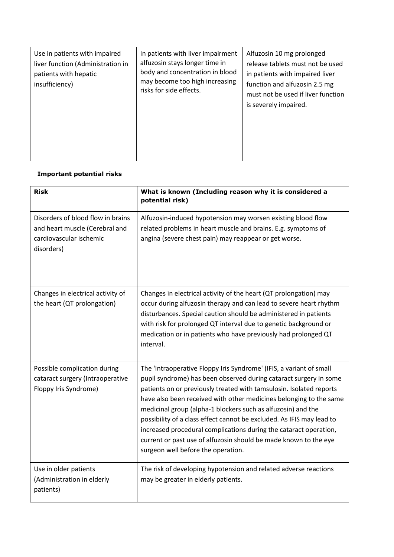| Use in patients with impaired<br>liver function (Administration in<br>patients with hepatic<br>insufficiency) | In patients with liver impairment<br>alfuzosin stays longer time in<br>body and concentration in blood<br>may become too high increasing<br>risks for side effects. | Alfuzosin 10 mg prolonged<br>release tablets must not be used<br>in patients with impaired liver<br>function and alfuzosin 2.5 mg<br>must not be used if liver function<br>is severely impaired. |
|---------------------------------------------------------------------------------------------------------------|---------------------------------------------------------------------------------------------------------------------------------------------------------------------|--------------------------------------------------------------------------------------------------------------------------------------------------------------------------------------------------|
|---------------------------------------------------------------------------------------------------------------|---------------------------------------------------------------------------------------------------------------------------------------------------------------------|--------------------------------------------------------------------------------------------------------------------------------------------------------------------------------------------------|

## **Important potential risks**

| <b>Risk</b>                                                                                                  | What is known (Including reason why it is considered a<br>potential risk)                                                                                                                                                                                                                                                                                                                                                                                                                                                                                                                                     |
|--------------------------------------------------------------------------------------------------------------|---------------------------------------------------------------------------------------------------------------------------------------------------------------------------------------------------------------------------------------------------------------------------------------------------------------------------------------------------------------------------------------------------------------------------------------------------------------------------------------------------------------------------------------------------------------------------------------------------------------|
| Disorders of blood flow in brains<br>and heart muscle (Cerebral and<br>cardiovascular ischemic<br>disorders) | Alfuzosin-induced hypotension may worsen existing blood flow<br>related problems in heart muscle and brains. E.g. symptoms of<br>angina (severe chest pain) may reappear or get worse.                                                                                                                                                                                                                                                                                                                                                                                                                        |
| Changes in electrical activity of<br>the heart (QT prolongation)                                             | Changes in electrical activity of the heart (QT prolongation) may<br>occur during alfuzosin therapy and can lead to severe heart rhythm<br>disturbances. Special caution should be administered in patients<br>with risk for prolonged QT interval due to genetic background or<br>medication or in patients who have previously had prolonged QT<br>interval.                                                                                                                                                                                                                                                |
| Possible complication during<br>cataract surgery (Intraoperative<br>Floppy Iris Syndrome)                    | The 'Intraoperative Floppy Iris Syndrome' (IFIS, a variant of small<br>pupil syndrome) has been observed during cataract surgery in some<br>patients on or previously treated with tamsulosin. Isolated reports<br>have also been received with other medicines belonging to the same<br>medicinal group (alpha-1 blockers such as alfuzosin) and the<br>possibility of a class effect cannot be excluded. As IFIS may lead to<br>increased procedural complications during the cataract operation,<br>current or past use of alfuzosin should be made known to the eye<br>surgeon well before the operation. |
| Use in older patients<br>(Administration in elderly<br>patients)                                             | The risk of developing hypotension and related adverse reactions<br>may be greater in elderly patients.                                                                                                                                                                                                                                                                                                                                                                                                                                                                                                       |